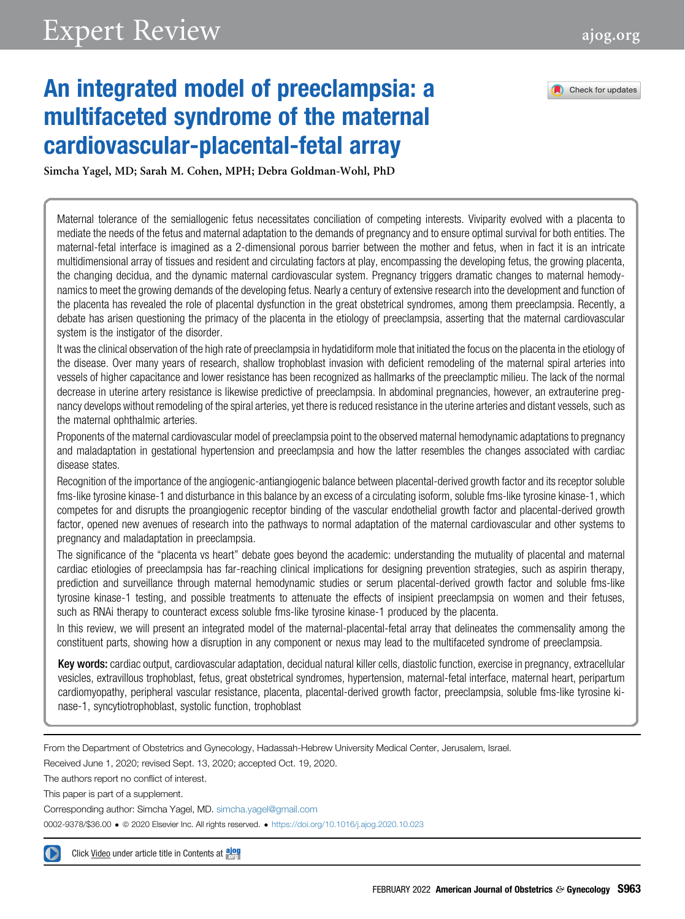# Expert Review [ajog.org](http://www.AJOG.org)

## An integrated model of preeclampsia: a multifaceted syndrome of the maternal cardiovascular-placental-fetal array



Simcha Yagel, MD; Sarah M. Cohen, MPH; Debra Goldman-Wohl, PhD

Maternal tolerance of the semiallogenic fetus necessitates conciliation of competing interests. Viviparity evolved with a placenta to mediate the needs of the fetus and maternal adaptation to the demands of pregnancy and to ensure optimal survival for both entities. The maternal-fetal interface is imagined as a 2-dimensional porous barrier between the mother and fetus, when in fact it is an intricate multidimensional array of tissues and resident and circulating factors at play, encompassing the developing fetus, the growing placenta, the changing decidua, and the dynamic maternal cardiovascular system. Pregnancy triggers dramatic changes to maternal hemodynamics to meet the growing demands of the developing fetus. Nearly a century of extensive research into the development and function of the placenta has revealed the role of placental dysfunction in the great obstetrical syndromes, among them preeclampsia. Recently, a debate has arisen questioning the primacy of the placenta in the etiology of preeclampsia, asserting that the maternal cardiovascular system is the instigator of the disorder.

It was the clinical observation of the high rate of preeclampsia in hydatidiform mole that initiated the focus on the placenta in the etiology of the disease. Over many years of research, shallow trophoblast invasion with deficient remodeling of the maternal spiral arteries into vessels of higher capacitance and lower resistance has been recognized as hallmarks of the preeclamptic milieu. The lack of the normal decrease in uterine artery resistance is likewise predictive of preeclampsia. In abdominal pregnancies, however, an extrauterine pregnancy develops without remodeling of the spiral arteries, yet there is reduced resistance in the uterine arteries and distant vessels, such as the maternal ophthalmic arteries.

Proponents of the maternal cardiovascular model of preeclampsia point to the observed maternal hemodynamic adaptations to pregnancy and maladaptation in gestational hypertension and preeclampsia and how the latter resembles the changes associated with cardiac disease states.

Recognition of the importance of the angiogenic-antiangiogenic balance between placental-derived growth factor and its receptor soluble fms-like tyrosine kinase-1 and disturbance in this balance by an excess of a circulating isoform, soluble fms-like tyrosine kinase-1, which competes for and disrupts the proangiogenic receptor binding of the vascular endothelial growth factor and placental-derived growth factor, opened new avenues of research into the pathways to normal adaptation of the maternal cardiovascular and other systems to pregnancy and maladaptation in preeclampsia.

The significance of the "placenta vs heart" debate goes beyond the academic: understanding the mutuality of placental and maternal cardiac etiologies of preeclampsia has far-reaching clinical implications for designing prevention strategies, such as aspirin therapy, prediction and surveillance through maternal hemodynamic studies or serum placental-derived growth factor and soluble fms-like tyrosine kinase-1 testing, and possible treatments to attenuate the effects of insipient preeclampsia on women and their fetuses, such as RNAi therapy to counteract excess soluble fms-like tyrosine kinase-1 produced by the placenta.

In this review, we will present an integrated model of the maternal-placental-fetal array that delineates the commensality among the constituent parts, showing how a disruption in any component or nexus may lead to the multifaceted syndrome of preeclampsia.

Key words: cardiac output, cardiovascular adaptation, decidual natural killer cells, diastolic function, exercise in pregnancy, extracellular vesicles, extravillous trophoblast, fetus, great obstetrical syndromes, hypertension, maternal-fetal interface, maternal heart, peripartum cardiomyopathy, peripheral vascular resistance, placenta, placental-derived growth factor, preeclampsia, soluble fms-like tyrosine kinase-1, syncytiotrophoblast, systolic function, trophoblast

From the Department of Obstetrics and Gynecology, Hadassah-Hebrew University Medical Center, Jerusalem, Israel.

Received June 1, 2020; revised Sept. 13, 2020; accepted Oct. 19, 2020.

The authors report no conflict of interest.

This paper is part of a supplement.

Corresponding author: Simcha Yagel, MD. [simcha.yagel@gmail.com](mailto:simcha.yagel@gmail.com) 0002-9378/\$36.00 ª 2020 Elsevier Inc. All rights reserved. <https://doi.org/10.1016/j.ajog.2020.10.023>

Click Video under article title in Contents at  $\frac{a}{b}$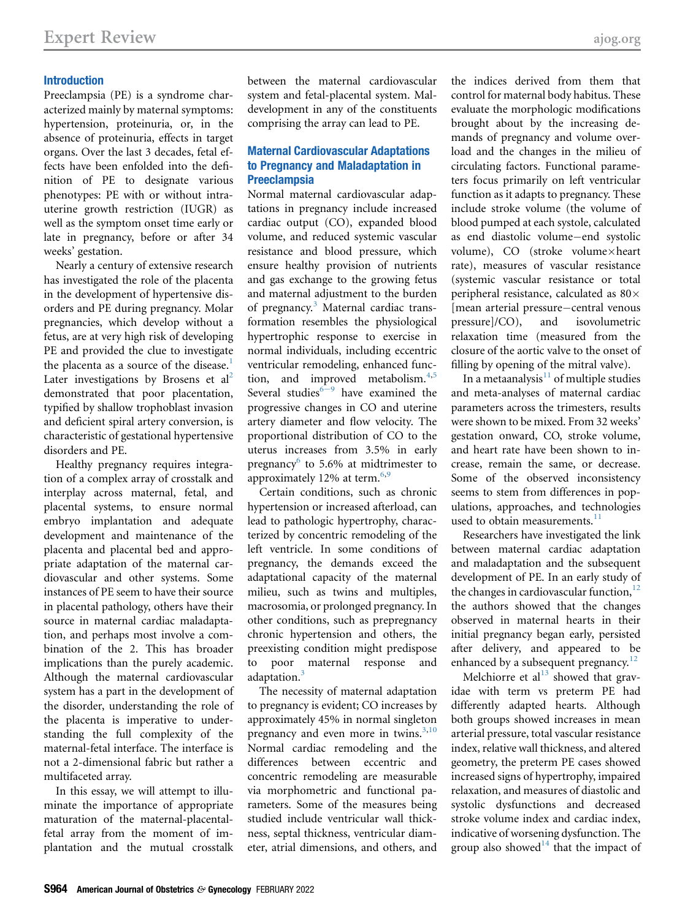#### Introduction

Preeclampsia (PE) is a syndrome characterized mainly by maternal symptoms: hypertension, proteinuria, or, in the absence of proteinuria, effects in target organs. Over the last 3 decades, fetal effects have been enfolded into the definition of PE to designate various phenotypes: PE with or without intrauterine growth restriction (IUGR) as well as the symptom onset time early or late in pregnancy, before or after 34 weeks' gestation.

Nearly a century of extensive research has investigated the role of the placenta in the development of hypertensive disorders and PE during pregnancy. Molar pregnancies, which develop without a fetus, are at very high risk of developing PE and provided the clue to investigate the placenta as a source of the disease.<sup>[1](#page-7-0)</sup> Later investigations by Brosens et  $al<sup>2</sup>$  $al<sup>2</sup>$  $al<sup>2</sup>$ demonstrated that poor placentation, typified by shallow trophoblast invasion and deficient spiral artery conversion, is characteristic of gestational hypertensive disorders and PE.

Healthy pregnancy requires integration of a complex array of crosstalk and interplay across maternal, fetal, and placental systems, to ensure normal embryo implantation and adequate development and maintenance of the placenta and placental bed and appropriate adaptation of the maternal cardiovascular and other systems. Some instances of PE seem to have their source in placental pathology, others have their source in maternal cardiac maladaptation, and perhaps most involve a combination of the 2. This has broader implications than the purely academic. Although the maternal cardiovascular system has a part in the development of the disorder, understanding the role of the placenta is imperative to understanding the full complexity of the maternal-fetal interface. The interface is not a 2-dimensional fabric but rather a multifaceted array.

In this essay, we will attempt to illuminate the importance of appropriate maturation of the maternal-placentalfetal array from the moment of implantation and the mutual crosstalk between the maternal cardiovascular system and fetal-placental system. Maldevelopment in any of the constituents comprising the array can lead to PE.

#### Maternal Cardiovascular Adaptations to Pregnancy and Maladaptation in **Preeclampsia**

Normal maternal cardiovascular adaptations in pregnancy include increased cardiac output (CO), expanded blood volume, and reduced systemic vascular resistance and blood pressure, which ensure healthy provision of nutrients and gas exchange to the growing fetus and maternal adjustment to the burden of pregnancy.[3](#page-7-2) Maternal cardiac transformation resembles the physiological hypertrophic response to exercise in normal individuals, including eccentric ventricular remodeling, enhanced func-tion, and improved metabolism.<sup>[4](#page-7-3)[,5](#page-7-4)</sup> S[e](#page-7-5)veral studies $6-9$  have examined the progressive changes in CO and uterine artery diameter and flow velocity. The proportional distribution of CO to the uterus increases from 3.5% in early pregnancy $6$  to 5.6% at midtrimester to approximately 12% at term. $6,9$  $6,9$ 

Certain conditions, such as chronic hypertension or increased afterload, can lead to pathologic hypertrophy, characterized by concentric remodeling of the left ventricle. In some conditions of pregnancy, the demands exceed the adaptational capacity of the maternal milieu, such as twins and multiples, macrosomia, or prolonged pregnancy. In other conditions, such as prepregnancy chronic hypertension and others, the preexisting condition might predispose to poor maternal response and adaptation.<sup>[3](#page-7-2)</sup>

The necessity of maternal adaptation to pregnancy is evident; CO increases by approximately 45% in normal singleton pregnancy and even more in twins. $3,10$  $3,10$ Normal cardiac remodeling and the differences between eccentric and concentric remodeling are measurable via morphometric and functional parameters. Some of the measures being studied include ventricular wall thickness, septal thickness, ventricular diameter, atrial dimensions, and others, and

the indices derived from them that control for maternal body habitus. These evaluate the morphologic modifications brought about by the increasing demands of pregnancy and volume overload and the changes in the milieu of circulating factors. Functional parameters focus primarily on left ventricular function as it adapts to pregnancy. These include stroke volume (the volume of blood pumped at each systole, calculated as end diastolic volume-end systolic volume),  $CO$  (stroke volume $\times$ heart rate), measures of vascular resistance (systemic vascular resistance or total peripheral resistance, calculated as  $80\times$ [mean arterial pressure-central venous<br>pressurel/CO), and isovolumetric  $presure]/CO$ ), relaxation time (measured from the closure of the aortic valve to the onset of filling by opening of the mitral valve).

In a metaanalysis $11$  of multiple studies and meta-analyses of maternal cardiac parameters across the trimesters, results were shown to be mixed. From 32 weeks' gestation onward, CO, stroke volume, and heart rate have been shown to increase, remain the same, or decrease. Some of the observed inconsistency seems to stem from differences in populations, approaches, and technologies used to obtain measurements. $^{11}$  $^{11}$  $^{11}$ 

Researchers have investigated the link between maternal cardiac adaptation and maladaptation and the subsequent development of PE. In an early study of the changes in cardiovascular function, $^{12}$  $^{12}$  $^{12}$ the authors showed that the changes observed in maternal hearts in their initial pregnancy began early, persisted after delivery, and appeared to be enhanced by a subsequent pregnancy.<sup>[12](#page-8-3)</sup>

Melchiorre et al<sup>[13](#page-8-4)</sup> showed that gravidae with term vs preterm PE had differently adapted hearts. Although both groups showed increases in mean arterial pressure, total vascular resistance index, relative wall thickness, and altered geometry, the preterm PE cases showed increased signs of hypertrophy, impaired relaxation, and measures of diastolic and systolic dysfunctions and decreased stroke volume index and cardiac index, indicative of worsening dysfunction. The group also showed<sup>[14](#page-8-5)</sup> that the impact of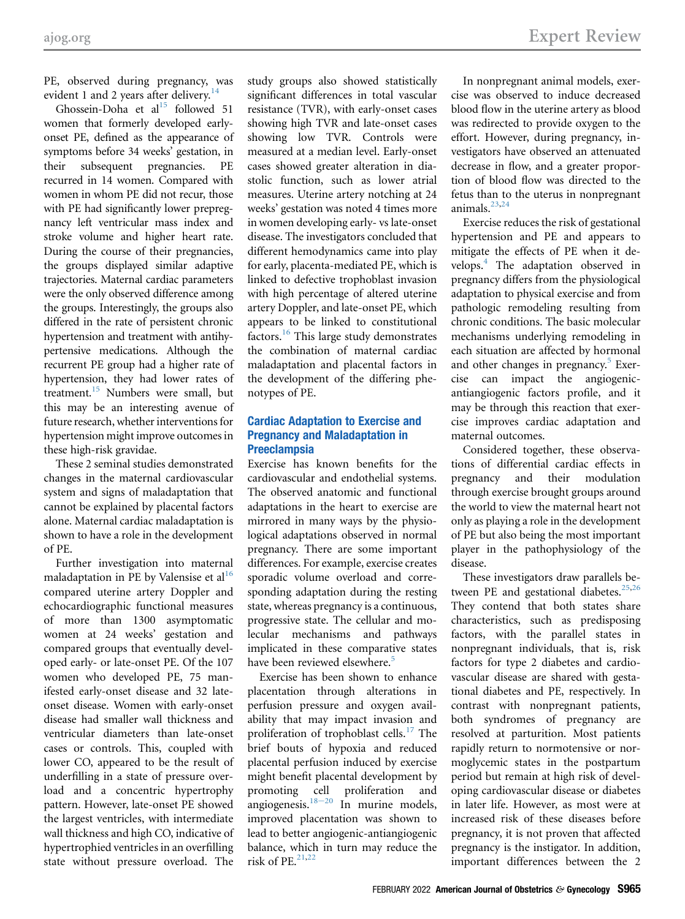PE, observed during pregnancy, was evident 1 and 2 years after delivery.<sup>14</sup>

Ghossein-Doha et al $^{15}$  $^{15}$  $^{15}$  followed 51 women that formerly developed earlyonset PE, defined as the appearance of symptoms before 34 weeks' gestation, in their subsequent pregnancies. PE recurred in 14 women. Compared with women in whom PE did not recur, those with PE had significantly lower prepregnancy left ventricular mass index and stroke volume and higher heart rate. During the course of their pregnancies, the groups displayed similar adaptive trajectories. Maternal cardiac parameters were the only observed difference among the groups. Interestingly, the groups also differed in the rate of persistent chronic hypertension and treatment with antihypertensive medications. Although the recurrent PE group had a higher rate of hypertension, they had lower rates of treatment.<sup>15</sup> Numbers were small, but this may be an interesting avenue of future research, whether interventions for hypertension might improve outcomes in these high-risk gravidae.

These 2 seminal studies demonstrated changes in the maternal cardiovascular system and signs of maladaptation that cannot be explained by placental factors alone. Maternal cardiac maladaptation is shown to have a role in the development of PE.

Further investigation into maternal maladaptation in PE by Valensise et al<sup>[16](#page-8-7)</sup> compared uterine artery Doppler and echocardiographic functional measures of more than 1300 asymptomatic women at 24 weeks' gestation and compared groups that eventually developed early- or late-onset PE. Of the 107 women who developed PE, 75 manifested early-onset disease and 32 lateonset disease. Women with early-onset disease had smaller wall thickness and ventricular diameters than late-onset cases or controls. This, coupled with lower CO, appeared to be the result of underfilling in a state of pressure overload and a concentric hypertrophy pattern. However, late-onset PE showed the largest ventricles, with intermediate wall thickness and high CO, indicative of hypertrophied ventricles in an overfilling state without pressure overload. The

study groups also showed statistically significant differences in total vascular resistance (TVR), with early-onset cases showing high TVR and late-onset cases showing low TVR. Controls were measured at a median level. Early-onset cases showed greater alteration in diastolic function, such as lower atrial measures. Uterine artery notching at 24 weeks' gestation was noted 4 times more in women developing early- vs late-onset disease. The investigators concluded that different hemodynamics came into play for early, placenta-mediated PE, which is linked to defective trophoblast invasion with high percentage of altered uterine artery Doppler, and late-onset PE, which appears to be linked to constitutional factors.[16](#page-8-7) This large study demonstrates the combination of maternal cardiac maladaptation and placental factors in the development of the differing phenotypes of PE.

#### Cardiac Adaptation to Exercise and Pregnancy and Maladaptation in Preeclampsia

Exercise has known benefits for the cardiovascular and endothelial systems. The observed anatomic and functional adaptations in the heart to exercise are mirrored in many ways by the physiological adaptations observed in normal pregnancy. There are some important differences. For example, exercise creates sporadic volume overload and corresponding adaptation during the resting state, whereas pregnancy is a continuous, progressive state. The cellular and molecular mechanisms and pathways implicated in these comparative states have been reviewed elsewhere.<sup>[5](#page-7-4)</sup>

Exercise has been shown to enhance placentation through alterations in perfusion pressure and oxygen availability that may impact invasion and proliferation of trophoblast cells.<sup>[17](#page-8-8)</sup> The brief bouts of hypoxia and reduced placental perfusion induced by exercise might benefit placental development by promoting cell proliferation and angiogenesis. $18-20$  In murine models, improved placentation was shown to lead to better angiogenic-antiangiogenic balance, which in turn may reduce the risk of PE. $^{21,22}$  $^{21,22}$  $^{21,22}$  $^{21,22}$ 

In nonpregnant animal models, exercise was observed to induce decreased blood flow in the uterine artery as blood was redirected to provide oxygen to the effort. However, during pregnancy, investigators have observed an attenuated decrease in flow, and a greater proportion of blood flow was directed to the fetus than to the uterus in nonpregnant animals. $^{23,24}$  $^{23,24}$  $^{23,24}$  $^{23,24}$ 

Exercise reduces the risk of gestational hypertension and PE and appears to mitigate the effects of PE when it develops.[4](#page-7-3) The adaptation observed in pregnancy differs from the physiological adaptation to physical exercise and from pathologic remodeling resulting from chronic conditions. The basic molecular mechanisms underlying remodeling in each situation are affected by hormonal and other changes in pregnancy.<sup>[5](#page-7-4)</sup> Exercise can impact the angiogenicantiangiogenic factors profile, and it may be through this reaction that exercise improves cardiac adaptation and maternal outcomes.

Considered together, these observations of differential cardiac effects in pregnancy and their modulation through exercise brought groups around the world to view the maternal heart not only as playing a role in the development of PE but also being the most important player in the pathophysiology of the disease.

These investigators draw parallels between PE and gestational diabetes. $25,26$  $25,26$  $25,26$ They contend that both states share characteristics, such as predisposing factors, with the parallel states in nonpregnant individuals, that is, risk factors for type 2 diabetes and cardiovascular disease are shared with gestational diabetes and PE, respectively. In contrast with nonpregnant patients, both syndromes of pregnancy are resolved at parturition. Most patients rapidly return to normotensive or normoglycemic states in the postpartum period but remain at high risk of developing cardiovascular disease or diabetes in later life. However, as most were at increased risk of these diseases before pregnancy, it is not proven that affected pregnancy is the instigator. In addition, important differences between the 2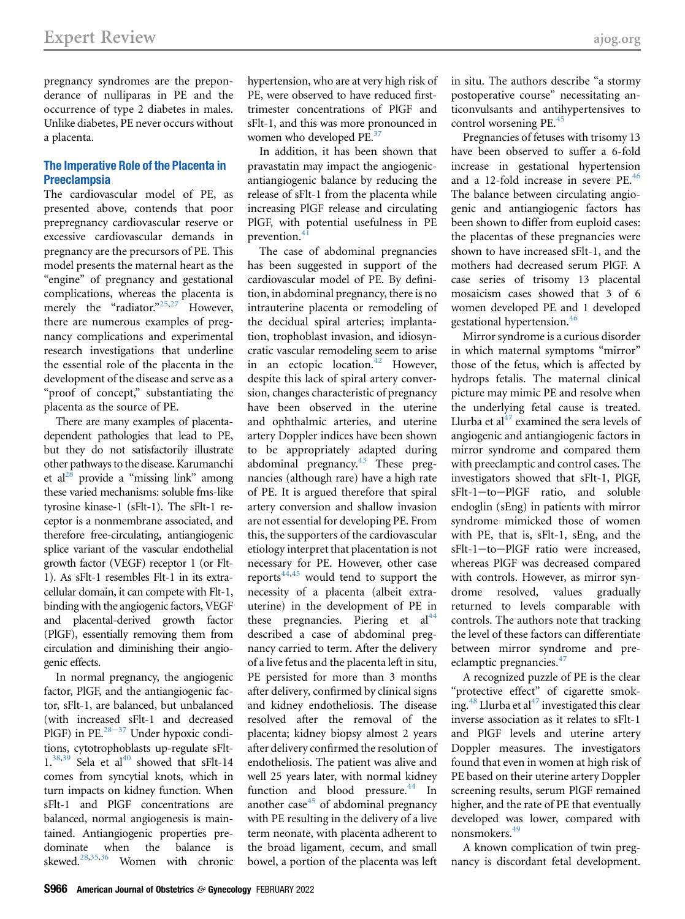pregnancy syndromes are the preponderance of nulliparas in PE and the occurrence of type 2 diabetes in males. Unlike diabetes, PE never occurs without a placenta.

#### The Imperative Role of the Placenta in **Preeclampsia**

The cardiovascular model of PE, as presented above, contends that poor prepregnancy cardiovascular reserve or excessive cardiovascular demands in pregnancy are the precursors of PE. This model presents the maternal heart as the "engine" of pregnancy and gestational complications, whereas the placenta is merely the "radiator."<sup>[25](#page-8-14)[,27](#page-8-16)</sup> However, there are numerous examples of pregnancy complications and experimental research investigations that underline the essential role of the placenta in the development of the disease and serve as a "proof of concept," substantiating the placenta as the source of PE.

There are many examples of placentadependent pathologies that lead to PE, but they do not satisfactorily illustrate other pathways to the disease. Karumanchi et al<sup>[28](#page-8-17)</sup> provide a "missing link" among these varied mechanisms: soluble fms-like tyrosine kinase-1 (sFlt-1). The sFlt-1 receptor is a nonmembrane associated, and therefore free-circulating, antiangiogenic splice variant of the vascular endothelial growth factor (VEGF) receptor 1 (or Flt-1). As sFlt-1 resembles Flt-1 in its extracellular domain, it can compete with Flt-1, binding with the angiogenic factors, VEGF and placental-derived growth factor (PlGF), essentially removing them from circulation and diminishing their angiogenic effects.

In normal pregnancy, the angiogenic factor, PlGF, and the antiangiogenic factor, sFlt-1, are balanced, but unbalanced (with incre[ased](#page-8-17) sFlt-1 and decreased PlGF) in PE. $28-37$  Under hypoxic conditions, cytotrophoblasts up-regulate sFlt- $1.^{38,39}$  $1.^{38,39}$  $1.^{38,39}$  Sela et al<sup>40</sup> showed that sFlt-14 comes from syncytial knots, which in turn impacts on kidney function. When sFlt-1 and PlGF concentrations are balanced, normal angiogenesis is maintained. Antiangiogenic properties predominate when the balance is skewed[.28](#page-8-17),[35](#page-8-21)[,36](#page-8-22) Women with chronic hypertension, who are at very high risk of PE, were observed to have reduced firsttrimester concentrations of PlGF and sFlt-1, and this was more pronounced in women who developed PE.<sup>37</sup>

In addition, it has been shown that pravastatin may impact the angiogenicantiangiogenic balance by reducing the release of sFlt-1 from the placenta while increasing PlGF release and circulating PlGF, with potential usefulness in PE prevention.[41](#page-8-24)

The case of abdominal pregnancies has been suggested in support of the cardiovascular model of PE. By definition, in abdominal pregnancy, there is no intrauterine placenta or remodeling of the decidual spiral arteries; implantation, trophoblast invasion, and idiosyncratic vascular remodeling seem to arise in an ectopic location.<sup>[42](#page-8-25)</sup> However, despite this lack of spiral artery conversion, changes characteristic of pregnancy have been observed in the uterine and ophthalmic arteries, and uterine artery Doppler indices have been shown to be appropriately adapted during abdominal pregnancy.<sup>[43](#page-8-26)</sup> These pregnancies (although rare) have a high rate of PE. It is argued therefore that spiral artery conversion and shallow invasion are not essential for developing PE. From this, the supporters of the cardiovascular etiology interpret that placentation is not necessary for PE. However, other case reports<sup>[44](#page-8-27)[,45](#page-8-28)</sup> would tend to support the necessity of a placenta (albeit extrauterine) in the development of PE in these pregnancies. Piering et  $al<sup>44</sup>$  $al<sup>44</sup>$  $al<sup>44</sup>$ described a case of abdominal pregnancy carried to term. After the delivery of a live fetus and the placenta left in situ, PE persisted for more than 3 months after delivery, confirmed by clinical signs and kidney endotheliosis. The disease resolved after the removal of the placenta; kidney biopsy almost 2 years after delivery confirmed the resolution of endotheliosis. The patient was alive and well 25 years later, with normal kidney function and blood pressure.<sup>[44](#page-8-27)</sup> In another case $45$  of abdominal pregnancy with PE resulting in the delivery of a live term neonate, with placenta adherent to the broad ligament, cecum, and small bowel, a portion of the placenta was left in situ. The authors describe "a stormy postoperative course" necessitating anticonvulsants and antihypertensives to control worsening PE.[45](#page-8-28)

Pregnancies of fetuses with trisomy 13 have been observed to suffer a 6-fold increase in gestational hypertension and a 12-fold increase in severe PE.<sup>[46](#page-8-29)</sup> The balance between circulating angiogenic and antiangiogenic factors has been shown to differ from euploid cases: the placentas of these pregnancies were shown to have increased sFlt-1, and the mothers had decreased serum PlGF. A case series of trisomy 13 placental mosaicism cases showed that 3 of 6 women developed PE and 1 developed gestational hypertension.<sup>[46](#page-8-29)</sup>

Mirror syndrome is a curious disorder in which maternal symptoms "mirror" those of the fetus, which is affected by hydrops fetalis. The maternal clinical picture may mimic PE and resolve when the underlying fetal cause is treated. Llurba et al $^{47}$  $^{47}$  $^{47}$  examined the sera levels of angiogenic and antiangiogenic factors in mirror syndrome and compared them with preeclamptic and control cases. The investigators showed that sFlt-1, PlGF, sFlt-1-to-PlGF ratio, and soluble endoglin (sEng) in patients with mirror syndrome mimicked those of women with PE, that is, sFlt-1, sEng, and the sFlt-1-to-PlGF ratio were increased, whereas PlGF was decreased compared with controls. However, as mirror syndrome resolved, values gradually returned to levels comparable with controls. The authors note that tracking the level of these factors can differentiate between mirror syndrome and pre-eclamptic pregnancies.<sup>[47](#page-8-30)</sup>

A recognized puzzle of PE is the clear "protective effect" of cigarette smok-ing.<sup>[48](#page-8-31)</sup> Llurba et al<sup>[47](#page-8-30)</sup> investigated this clear inverse association as it relates to sFlt-1 and PlGF levels and uterine artery Doppler measures. The investigators found that even in women at high risk of PE based on their uterine artery Doppler screening results, serum PlGF remained higher, and the rate of PE that eventually developed was lower, compared with nonsmokers.[49](#page-8-32)

A known complication of twin pregnancy is discordant fetal development.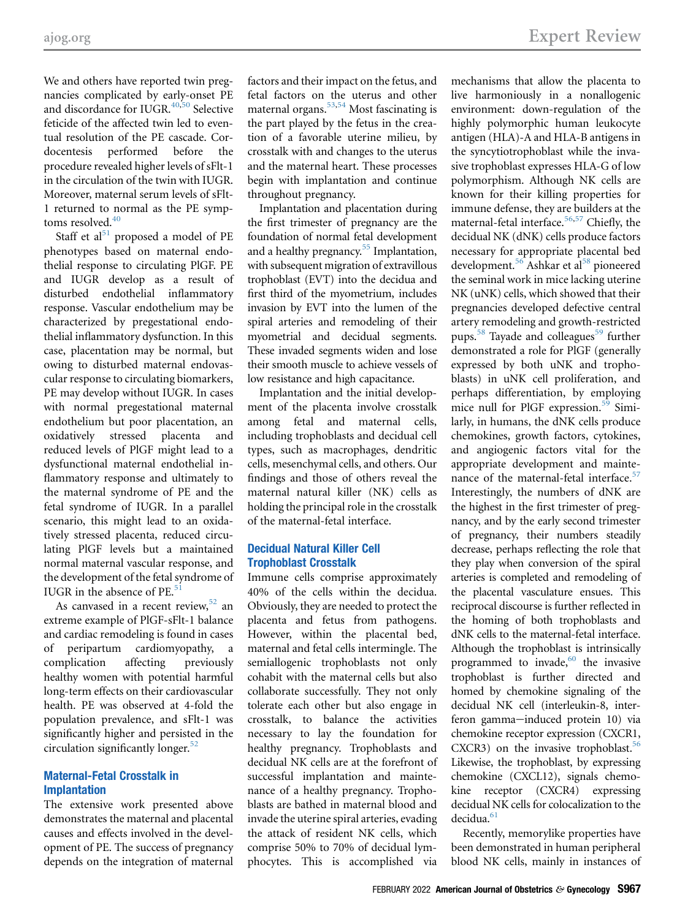We and others have reported twin pregnancies complicated by early-onset PE and discordance for IUGR.<sup>[40](#page-8-20),[50](#page-8-33)</sup> Selective feticide of the affected twin led to eventual resolution of the PE cascade. Cordocentesis performed before the procedure revealed higher levels of sFlt-1 in the circulation of the twin with IUGR. Moreover, maternal serum levels of sFlt-1 returned to normal as the PE symptoms resolved. $40$ 

Staff et  $al<sup>51</sup>$  $al<sup>51</sup>$  $al<sup>51</sup>$  proposed a model of PE phenotypes based on maternal endothelial response to circulating PlGF. PE and IUGR develop as a result of disturbed endothelial inflammatory response. Vascular endothelium may be characterized by pregestational endothelial inflammatory dysfunction. In this case, placentation may be normal, but owing to disturbed maternal endovascular response to circulating biomarkers, PE may develop without IUGR. In cases with normal pregestational maternal endothelium but poor placentation, an oxidatively stressed placenta and reduced levels of PlGF might lead to a dysfunctional maternal endothelial inflammatory response and ultimately to the maternal syndrome of PE and the fetal syndrome of IUGR. In a parallel scenario, this might lead to an oxidatively stressed placenta, reduced circulating PlGF levels but a maintained normal maternal vascular response, and the development of the fetal syndrome of IUGR in the absence of  $PE.<sup>51</sup>$  $PE.<sup>51</sup>$  $PE.<sup>51</sup>$ 

As canvased in a recent review,  $52$  an extreme example of PlGF-sFlt-1 balance and cardiac remodeling is found in cases of peripartum cardiomyopathy, a complication affecting previously healthy women with potential harmful long-term effects on their cardiovascular health. PE was observed at 4-fold the population prevalence, and sFlt-1 was significantly higher and persisted in the circulation significantly longer. $52$ 

### Maternal-Fetal Crosstalk in Implantation

The extensive work presented above demonstrates the maternal and placental causes and effects involved in the development of PE. The success of pregnancy depends on the integration of maternal factors and their impact on the fetus, and fetal factors on the uterus and other maternal organs.<sup>[53](#page-9-1),[54](#page-9-2)</sup> Most fascinating is the part played by the fetus in the creation of a favorable uterine milieu, by crosstalk with and changes to the uterus and the maternal heart. These processes begin with implantation and continue throughout pregnancy.

Implantation and placentation during the first trimester of pregnancy are the foundation of normal fetal development and a healthy pregnancy.<sup>[55](#page-9-3)</sup> Implantation, with subsequent migration of extravillous trophoblast (EVT) into the decidua and first third of the myometrium, includes invasion by EVT into the lumen of the spiral arteries and remodeling of their myometrial and decidual segments. These invaded segments widen and lose their smooth muscle to achieve vessels of low resistance and high capacitance.

Implantation and the initial development of the placenta involve crosstalk among fetal and maternal cells, including trophoblasts and decidual cell types, such as macrophages, dendritic cells, mesenchymal cells, and others. Our findings and those of others reveal the maternal natural killer (NK) cells as holding the principal role in the crosstalk of the maternal-fetal interface.

#### Decidual Natural Killer Cell Trophoblast Crosstalk

Immune cells comprise approximately 40% of the cells within the decidua. Obviously, they are needed to protect the placenta and fetus from pathogens. However, within the placental bed, maternal and fetal cells intermingle. The semiallogenic trophoblasts not only cohabit with the maternal cells but also collaborate successfully. They not only tolerate each other but also engage in crosstalk, to balance the activities necessary to lay the foundation for healthy pregnancy. Trophoblasts and decidual NK cells are at the forefront of successful implantation and maintenance of a healthy pregnancy. Trophoblasts are bathed in maternal blood and invade the uterine spiral arteries, evading the attack of resident NK cells, which comprise 50% to 70% of decidual lymphocytes. This is accomplished via

mechanisms that allow the placenta to live harmoniously in a nonallogenic environment: down-regulation of the highly polymorphic human leukocyte antigen (HLA)-A and HLA-B antigens in the syncytiotrophoblast while the invasive trophoblast expresses HLA-G of low polymorphism. Although NK cells are known for their killing properties for immune defense, they are builders at the maternal-fetal interface.<sup>[56,](#page-9-4)[57](#page-9-5)</sup> Chiefly, the decidual NK (dNK) cells produce factors necessary for appropriate placental bed development.<sup>[56](#page-9-4)</sup> Ashkar et al<sup>[58](#page-9-6)</sup> pioneered the seminal work in mice lacking uterine NK (uNK) cells, which showed that their pregnancies developed defective central artery remodeling and growth-restricted pups.<sup>[58](#page-9-6)</sup> Tayade and colleagues<sup>[59](#page-9-7)</sup> further demonstrated a role for PlGF (generally expressed by both uNK and trophoblasts) in uNK cell proliferation, and perhaps differentiation, by employing mice null for PlGF expression.<sup>[59](#page-9-7)</sup> Similarly, in humans, the dNK cells produce chemokines, growth factors, cytokines, and angiogenic factors vital for the appropriate development and mainte-nance of the maternal-fetal interface.<sup>[57](#page-9-5)</sup> Interestingly, the numbers of dNK are the highest in the first trimester of pregnancy, and by the early second trimester of pregnancy, their numbers steadily decrease, perhaps reflecting the role that they play when conversion of the spiral arteries is completed and remodeling of the placental vasculature ensues. This reciprocal discourse is further reflected in the homing of both trophoblasts and dNK cells to the maternal-fetal interface. Although the trophoblast is intrinsically programmed to invade, $60$  the invasive trophoblast is further directed and homed by chemokine signaling of the decidual NK cell (interleukin-8, interferon gamma-induced protein 10) via chemokine receptor expression (CXCR1, CXCR3) on the invasive trophoblast.<sup>56</sup> Likewise, the trophoblast, by expressing chemokine (CXCL12), signals chemokine receptor (CXCR4) expressing decidual NK cells for colocalization to the decidua.<sup>61</sup>

Recently, memorylike properties have been demonstrated in human peripheral blood NK cells, mainly in instances of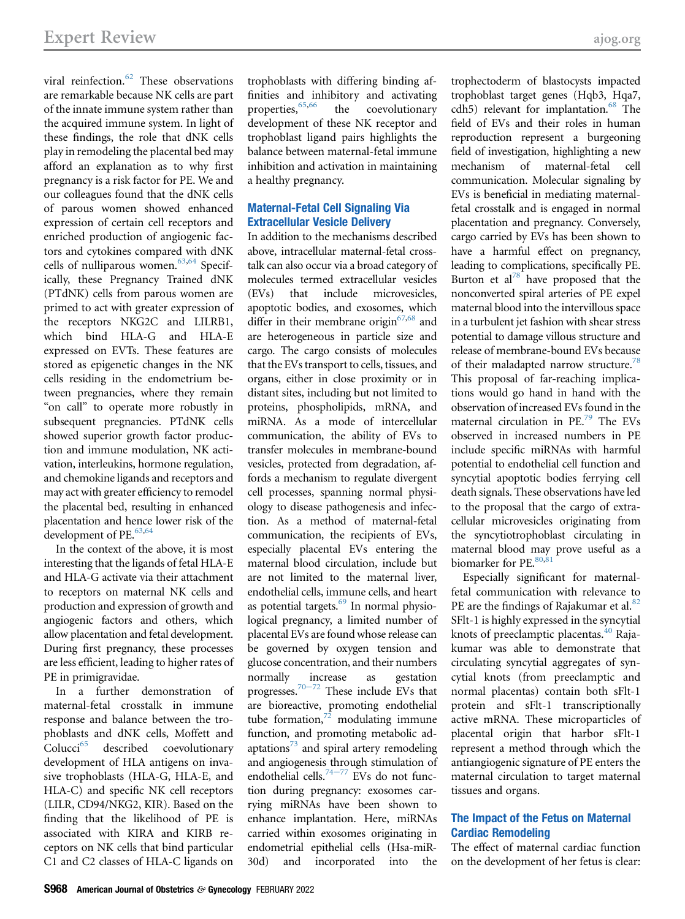viral reinfection. $62$  These observations are remarkable because NK cells are part of the innate immune system rather than the acquired immune system. In light of these findings, the role that dNK cells play in remodeling the placental bed may afford an explanation as to why first pregnancy is a risk factor for PE. We and our colleagues found that the dNK cells of parous women showed enhanced expression of certain cell receptors and enriched production of angiogenic factors and cytokines compared with dNK cells of nulliparous women.<sup>63[,64](#page-9-12)</sup> Specifically, these Pregnancy Trained dNK (PTdNK) cells from parous women are primed to act with greater expression of the receptors NKG2C and LILRB1, which bind HLA-G and HLA-E expressed on EVTs. These features are stored as epigenetic changes in the NK cells residing in the endometrium between pregnancies, where they remain "on call" to operate more robustly in subsequent pregnancies. PTdNK cells showed superior growth factor production and immune modulation, NK activation, interleukins, hormone regulation, and chemokine ligands and receptors and may act with greater efficiency to remodel the placental bed, resulting in enhanced placentation and hence lower risk of the development of PE. $^{63,64}$  $^{63,64}$  $^{63,64}$ 

In the context of the above, it is most interesting that the ligands of fetal HLA-E and HLA-G activate via their attachment to receptors on maternal NK cells and production and expression of growth and angiogenic factors and others, which allow placentation and fetal development. During first pregnancy, these processes are less efficient, leading to higher rates of PE in primigravidae.

In a further demonstration of maternal-fetal crosstalk in immune response and balance between the trophoblasts and dNK cells, Moffett and Colucci<sup>65</sup> described coevolutionary development of HLA antigens on invasive trophoblasts (HLA-G, HLA-E, and HLA-C) and specific NK cell receptors (LILR, CD94/NKG2, KIR). Based on the finding that the likelihood of PE is associated with KIRA and KIRB receptors on NK cells that bind particular C1 and C2 classes of HLA-C ligands on

trophoblasts with differing binding affinities and inhibitory and activating<br>properties,  $65,66$  the coevolutionary the coevolutionary development of these NK receptor and trophoblast ligand pairs highlights the balance between maternal-fetal immune inhibition and activation in maintaining a healthy pregnancy.

## Maternal-Fetal Cell Signaling Via Extracellular Vesicle Delivery

In addition to the mechanisms described above, intracellular maternal-fetal crosstalk can also occur via a broad category of molecules termed extracellular vesicles (EVs) that include microvesicles, apoptotic bodies, and exosomes, which differ in their membrane origin $67,68$  $67,68$  and are heterogeneous in particle size and cargo. The cargo consists of molecules that the EVs transport to cells, tissues, and organs, either in close proximity or in distant sites, including but not limited to proteins, phospholipids, mRNA, and miRNA. As a mode of intercellular communication, the ability of EVs to transfer molecules in membrane-bound vesicles, protected from degradation, affords a mechanism to regulate divergent cell processes, spanning normal physiology to disease pathogenesis and infection. As a method of maternal-fetal communication, the recipients of EVs, especially placental EVs entering the maternal blood circulation, include but are not limited to the maternal liver, endothelial cells, immune cells, and heart as potential targets.<sup>[69](#page-9-17)</sup> In normal physiological pregnancy, a limited number of placental EVs are found whose release can be governed by oxygen tension and glucose concentration, and their numbers normally [inc](#page-9-18)rease as gestation progresses.<sup>70-72</sup> These include EVs that are bioreactive, promoting endothelial tube formation, $72 \text{ modulating immune}$ function, and promoting metabolic adaptations $73$  and spiral artery remodeling and angiogenesis through stimulation of endothelial cells.<sup>[74](#page-9-21)-77</sup> EVs do not function during pregnancy: exosomes carrying miRNAs have been shown to enhance implantation. Here, miRNAs carried within exosomes originating in endometrial epithelial cells (Hsa-miR-30d) and incorporated into the

trophectoderm of blastocysts impacted trophoblast target genes (Hqb3, Hqa7, cdh5) relevant for implantation.<sup>[68](#page-9-16)</sup> The field of EVs and their roles in human reproduction represent a burgeoning field of investigation, highlighting a new mechanism of maternal-fetal cell communication. Molecular signaling by EVs is beneficial in mediating maternalfetal crosstalk and is engaged in normal placentation and pregnancy. Conversely, cargo carried by EVs has been shown to have a harmful effect on pregnancy, leading to complications, specifically PE. Burton et  $al^{78}$  $al^{78}$  $al^{78}$  have proposed that the nonconverted spiral arteries of PE expel maternal blood into the intervillous space in a turbulent jet fashion with shear stress potential to damage villous structure and release of membrane-bound EVs because of their maladapted narrow structure.<sup>78</sup> This proposal of far-reaching implications would go hand in hand with the observation of increased EVs found in the maternal circulation in PE.<sup>[79](#page-9-23)</sup> The EVs observed in increased numbers in PE include specific miRNAs with harmful potential to endothelial cell function and syncytial apoptotic bodies ferrying cell death signals. These observations have led to the proposal that the cargo of extracellular microvesicles originating from the syncytiotrophoblast circulating in maternal blood may prove useful as a biomarker for PE.<sup>80,[81](#page-9-25)</sup>

Especially significant for maternalfetal communication with relevance to PE are the findings of Rajakumar et al.<sup>[82](#page-9-26)</sup> SFlt-1 is highly expressed in the syncytial knots of preeclamptic placentas. $40$  Rajakumar was able to demonstrate that circulating syncytial aggregates of syncytial knots (from preeclamptic and normal placentas) contain both sFlt-1 protein and sFlt-1 transcriptionally active mRNA. These microparticles of placental origin that harbor sFlt-1 represent a method through which the antiangiogenic signature of PE enters the maternal circulation to target maternal tissues and organs.

## The Impact of the Fetus on Maternal Cardiac Remodeling

The effect of maternal cardiac function on the development of her fetus is clear: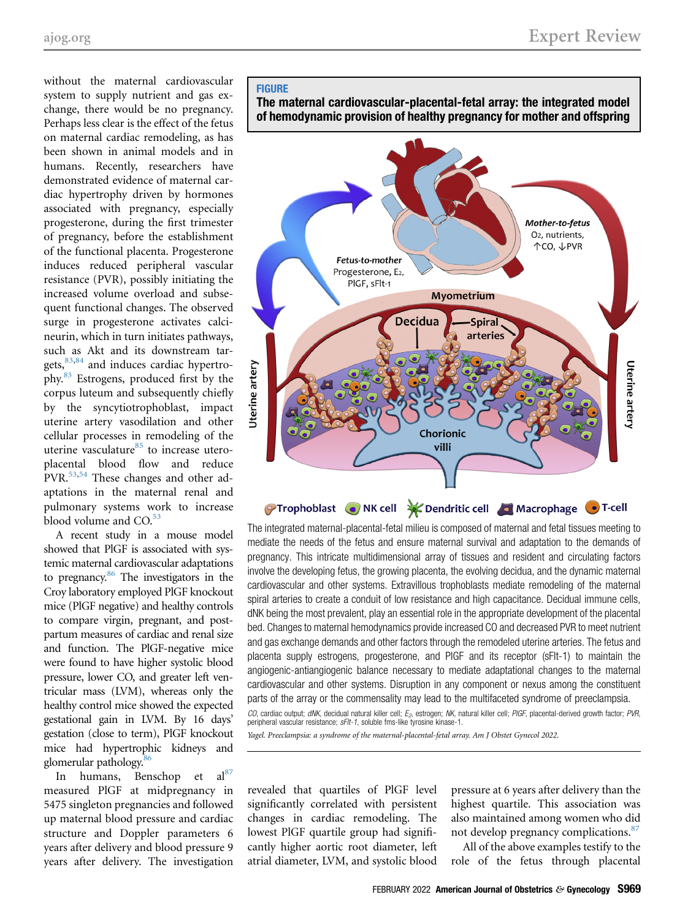without the maternal cardiovascular system to supply nutrient and gas exchange, there would be no pregnancy. Perhaps less clear is the effect of the fetus on maternal cardiac remodeling, as has been shown in animal models and in humans. Recently, researchers have demonstrated evidence of maternal cardiac hypertrophy driven by hormones associated with pregnancy, especially progesterone, during the first trimester of pregnancy, before the establishment of the functional placenta. Progesterone induces reduced peripheral vascular resistance (PVR), possibly initiating the increased volume overload and subsequent functional changes. The observed surge in progesterone activates calcineurin, which in turn initiates pathways, such as Akt and its downstream targets,  $83,84$  $83,84$  and induces cardiac hypertrophy[.83](#page-9-27) Estrogens, produced first by the corpus luteum and subsequently chiefly by the syncytiotrophoblast, impact uterine artery vasodilation and other cellular processes in remodeling of the uterine vasculature $85$  to increase uteroplacental blood flow and reduce PVR.<sup>[53,](#page-9-1)[54](#page-9-2)</sup> These changes and other adaptations in the maternal renal and pulmonary systems work to increase blood volume and  $CO<sup>53</sup>$  $CO<sup>53</sup>$  $CO<sup>53</sup>$ 

A recent study in a mouse model showed that PlGF is associated with systemic maternal cardiovascular adaptations to pregnancy.<sup>86</sup> The investigators in the Croy laboratory employed PlGF knockout mice (PlGF negative) and healthy controls to compare virgin, pregnant, and postpartum measures of cardiac and renal size and function. The PlGF-negative mice were found to have higher systolic blood pressure, lower CO, and greater left ventricular mass (LVM), whereas only the healthy control mice showed the expected gestational gain in LVM. By 16 days' gestation (close to term), PlGF knockout mice had hypertrophic kidneys and glomerular pathology.<sup>[86](#page-9-30)</sup>

In humans, Benschop et al<sup>[87](#page-9-31)</sup> measured PlGF at midpregnancy in 5475 singleton pregnancies and followed up maternal blood pressure and cardiac structure and Doppler parameters 6 years after delivery and blood pressure 9 years after delivery. The investigation

#### <span id="page-6-0"></span>**FIGURE**

The maternal cardiovascular-placental-fetal array: the integrated model of hemodynamic provision of healthy pregnancy for mother and offspring



The integrated maternal-placental-fetal milieu is composed of maternal and fetal tissues meeting to mediate the needs of the fetus and ensure maternal survival and adaptation to the demands of pregnancy. This intricate multidimensional array of tissues and resident and circulating factors involve the developing fetus, the growing placenta, the evolving decidua, and the dynamic maternal cardiovascular and other systems. Extravillous trophoblasts mediate remodeling of the maternal spiral arteries to create a conduit of low resistance and high capacitance. Decidual immune cells, dNK being the most prevalent, play an essential role in the appropriate development of the placental bed. Changes to maternal hemodynamics provide increased CO and decreased PVR to meet nutrient and gas exchange demands and other factors through the remodeled uterine arteries. The fetus and placenta supply estrogens, progesterone, and PlGF and its receptor (sFlt-1) to maintain the angiogenic-antiangiogenic balance necessary to mediate adaptational changes to the maternal cardiovascular and other systems. Disruption in any component or nexus among the constituent parts of the array or the commensality may lead to the multifaceted syndrome of preeclampsia.

CO, cardiac output; dNK, decidual natural killer cell;  $E_2$ , estrogen; NK, natural killer cell; PIGF, placental-derived growth factor; PVR, peripheral vascular resistance; sFIt-1, soluble fms-like tyrosine kinase-1.

Yagel. Preeclampsia: a syndrome of the maternal-placental-fetal array. Am J Obstet Gynecol 2022.

revealed that quartiles of PlGF level significantly correlated with persistent changes in cardiac remodeling. The lowest PlGF quartile group had significantly higher aortic root diameter, left atrial diameter, LVM, and systolic blood

pressure at 6 years after delivery than the highest quartile. This association was also maintained among women who did not develop pregnancy complications.<sup>[87](#page-9-31)</sup>

All of the above examples testify to the role of the fetus through placental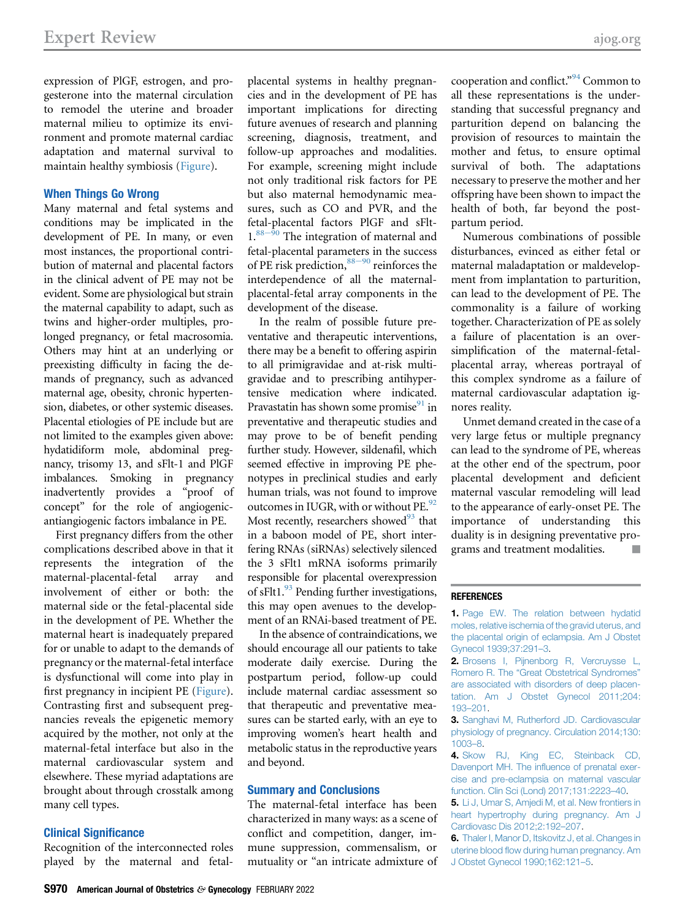expression of PlGF, estrogen, and progesterone into the maternal circulation to remodel the uterine and broader maternal milieu to optimize its environment and promote maternal cardiac adaptation and maternal survival to maintain healthy symbiosis ([Figure\)](#page-6-0).

#### When Things Go Wrong

Many maternal and fetal systems and conditions may be implicated in the development of PE. In many, or even most instances, the proportional contribution of maternal and placental factors in the clinical advent of PE may not be evident. Some are physiological but strain the maternal capability to adapt, such as twins and higher-order multiples, prolonged pregnancy, or fetal macrosomia. Others may hint at an underlying or preexisting difficulty in facing the demands of pregnancy, such as advanced maternal age, obesity, chronic hypertension, diabetes, or other systemic diseases. Placental etiologies of PE include but are not limited to the examples given above: hydatidiform mole, abdominal pregnancy, trisomy 13, and sFlt-1 and PlGF imbalances. Smoking in pregnancy inadvertently provides a "proof of concept" for the role of angiogenicantiangiogenic factors imbalance in PE.

First pregnancy differs from the other complications described above in that it represents the integration of the maternal-placental-fetal array and involvement of either or both: the maternal side or the fetal-placental side in the development of PE. Whether the maternal heart is inadequately prepared for or unable to adapt to the demands of pregnancy or the maternal-fetal interface is dysfunctional will come into play in first pregnancy in incipient PE [\(Figure](#page-6-0)). Contrasting first and subsequent pregnancies reveals the epigenetic memory acquired by the mother, not only at the maternal-fetal interface but also in the maternal cardiovascular system and elsewhere. These myriad adaptations are brought about through crosstalk among many cell types.

#### Clinical Significance

Recognition of the interconnected roles played by the maternal and fetalplacental systems in healthy pregnancies and in the development of PE has important implications for directing future avenues of research and planning screening, diagnosis, treatment, and follow-up approaches and modalities. For example, screening might include not only traditional risk factors for PE but also maternal hemodynamic measures, such as CO and PVR, and the fetal-placental factors PlGF and sFlt- $1.^{88-90}$  The integration of maternal and fetal-placental parameters in the success of PE risk prediction,  $88-90$  $88-90$  reinforces the interdependence of all the maternalplacental-fetal array components in the development of the disease.

In the realm of possible future preventative and therapeutic interventions, there may be a benefit to offering aspirin to all primigravidae and at-risk multigravidae and to prescribing antihypertensive medication where indicated. Pravastatin has shown some promise $91$  in preventative and therapeutic studies and may prove to be of benefit pending further study. However, sildenafil, which seemed effective in improving PE phenotypes in preclinical studies and early human trials, was not found to improve outcomes in IUGR, with or without PE.<sup>[92](#page-9-34)</sup> Most recently, researchers showed $93$  that in a baboon model of PE, short interfering RNAs (siRNAs) selectively silenced the 3 sFlt1 mRNA isoforms primarily responsible for placental overexpression of sFlt1[.93](#page-9-35) Pending further investigations, this may open avenues to the development of an RNAi-based treatment of PE.

In the absence of contraindications, we should encourage all our patients to take moderate daily exercise. During the postpartum period, follow-up could include maternal cardiac assessment so that therapeutic and preventative measures can be started early, with an eye to improving women's heart health and metabolic status in the reproductive years and beyond.

#### Summary and Conclusions

The maternal-fetal interface has been characterized in many ways: as a scene of conflict and competition, danger, immune suppression, commensalism, or mutuality or "an intricate admixture of

cooperation and conflict." [94](#page-9-36) Common to all these representations is the understanding that successful pregnancy and parturition depend on balancing the provision of resources to maintain the mother and fetus, to ensure optimal survival of both. The adaptations necessary to preserve the mother and her offspring have been shown to impact the health of both, far beyond the postpartum period.

Numerous combinations of possible disturbances, evinced as either fetal or maternal maladaptation or maldevelopment from implantation to parturition, can lead to the development of PE. The commonality is a failure of working together. Characterization of PE as solely a failure of placentation is an oversimplification of the maternal-fetalplacental array, whereas portrayal of this complex syndrome as a failure of maternal cardiovascular adaptation ignores reality.

Unmet demand created in the case of a very large fetus or multiple pregnancy can lead to the syndrome of PE, whereas at the other end of the spectrum, poor placental development and deficient maternal vascular remodeling will lead to the appearance of early-onset PE. The importance of understanding this duality is in designing preventative programs and treatment modalities.

#### <span id="page-7-0"></span>**REFERENCES**

1. [Page EW. The relation between hydatid](http://refhub.elsevier.com/S0002-9378(20)31197-2/sref1) [moles, relative ischemia of the gravid uterus, and](http://refhub.elsevier.com/S0002-9378(20)31197-2/sref1) [the placental origin of eclampsia. Am J Obstet](http://refhub.elsevier.com/S0002-9378(20)31197-2/sref1) [Gynecol 1939;37:291](http://refhub.elsevier.com/S0002-9378(20)31197-2/sref1)–3.

- <span id="page-7-1"></span>2. [Brosens I, Pijnenborg R, Vercruysse L,](http://refhub.elsevier.com/S0002-9378(20)31197-2/sref2) Romero R. The "[Great Obstetrical Syndromes](http://refhub.elsevier.com/S0002-9378(20)31197-2/sref2)" [are associated with disorders of deep placen](http://refhub.elsevier.com/S0002-9378(20)31197-2/sref2)[tation. Am J Obstet Gynecol 2011;204:](http://refhub.elsevier.com/S0002-9378(20)31197-2/sref2) 193–[201.](http://refhub.elsevier.com/S0002-9378(20)31197-2/sref2)
- <span id="page-7-3"></span><span id="page-7-2"></span>3. [Sanghavi M, Rutherford JD. Cardiovascular](http://refhub.elsevier.com/S0002-9378(20)31197-2/sref3) [physiology of pregnancy. Circulation 2014;130:](http://refhub.elsevier.com/S0002-9378(20)31197-2/sref3) [1003](http://refhub.elsevier.com/S0002-9378(20)31197-2/sref3)–8.
- 4. [Skow RJ, King EC, Steinback CD,](http://refhub.elsevier.com/S0002-9378(20)31197-2/sref4) Davenport MH. The infl[uence of prenatal exer](http://refhub.elsevier.com/S0002-9378(20)31197-2/sref4)[cise and pre-eclampsia on maternal vascular](http://refhub.elsevier.com/S0002-9378(20)31197-2/sref4) [function. Clin Sci \(Lond\) 2017;131:2223](http://refhub.elsevier.com/S0002-9378(20)31197-2/sref4)–40.
- <span id="page-7-5"></span><span id="page-7-4"></span>5. [Li J, Umar S, Amjedi M, et al. New frontiers in](http://refhub.elsevier.com/S0002-9378(20)31197-2/sref5) [heart hypertrophy during pregnancy. Am J](http://refhub.elsevier.com/S0002-9378(20)31197-2/sref5) [Cardiovasc Dis 2012;2:192](http://refhub.elsevier.com/S0002-9378(20)31197-2/sref5)–207.

6. [Thaler I, Manor D, Itskovitz J, et al. Changes in](http://refhub.elsevier.com/S0002-9378(20)31197-2/sref6) uterine blood fl[ow during human pregnancy. Am](http://refhub.elsevier.com/S0002-9378(20)31197-2/sref6) [J Obstet Gynecol 1990;162:121](http://refhub.elsevier.com/S0002-9378(20)31197-2/sref6)–5.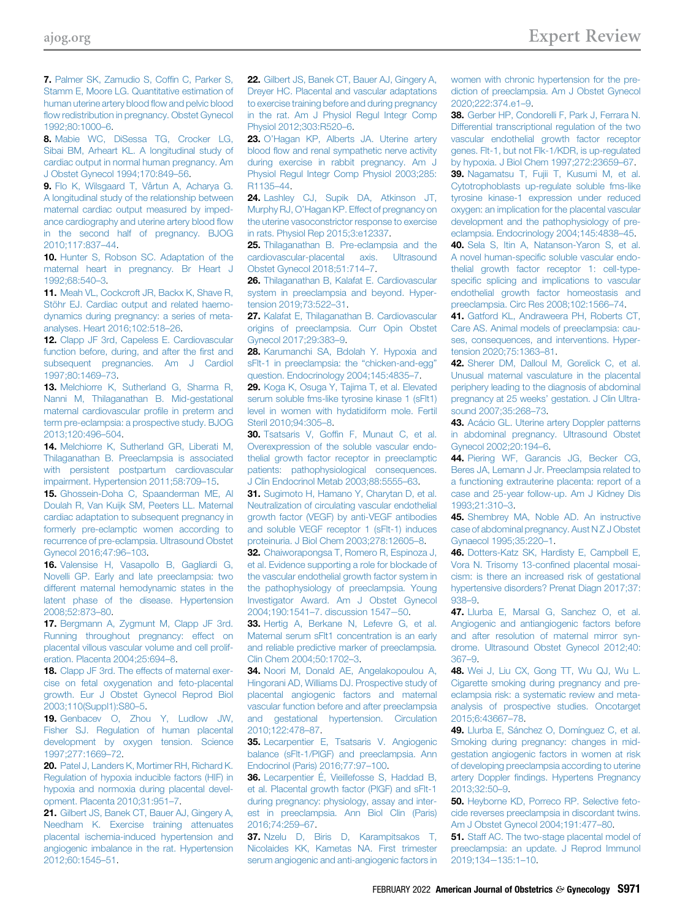7. [Palmer SK, Zamudio S, Cof](http://refhub.elsevier.com/S0002-9378(20)31197-2/sref7)fin C, Parker S, [Stamm E, Moore LG. Quantitative estimation of](http://refhub.elsevier.com/S0002-9378(20)31197-2/sref7) [human uterine artery blood](http://refhub.elsevier.com/S0002-9378(20)31197-2/sref7) flow and pelvic blood fl[ow redistribution in pregnancy. Obstet Gynecol](http://refhub.elsevier.com/S0002-9378(20)31197-2/sref7) [1992;80:1000](http://refhub.elsevier.com/S0002-9378(20)31197-2/sref7)–6.

8. [Mabie WC, DiSessa TG, Crocker LG,](http://refhub.elsevier.com/S0002-9378(20)31197-2/sref8) [Sibai BM, Arheart KL. A longitudinal study of](http://refhub.elsevier.com/S0002-9378(20)31197-2/sref8) [cardiac output in normal human pregnancy. Am](http://refhub.elsevier.com/S0002-9378(20)31197-2/sref8) [J Obstet Gynecol 1994;170:849](http://refhub.elsevier.com/S0002-9378(20)31197-2/sref8)–56.

<span id="page-8-0"></span>9. [Flo K, Wilsgaard T, Vårtun A, Acharya G.](http://refhub.elsevier.com/S0002-9378(20)31197-2/sref9) [A longitudinal study of the relationship between](http://refhub.elsevier.com/S0002-9378(20)31197-2/sref9) [maternal cardiac output measured by imped](http://refhub.elsevier.com/S0002-9378(20)31197-2/sref9)[ance cardiography and uterine artery blood](http://refhub.elsevier.com/S0002-9378(20)31197-2/sref9) flow [in the second half of pregnancy. BJOG](http://refhub.elsevier.com/S0002-9378(20)31197-2/sref9) [2010;117:837](http://refhub.elsevier.com/S0002-9378(20)31197-2/sref9)–44.

<span id="page-8-1"></span>10. [Hunter S, Robson SC. Adaptation of the](http://refhub.elsevier.com/S0002-9378(20)31197-2/sref10) [maternal heart in pregnancy. Br Heart J](http://refhub.elsevier.com/S0002-9378(20)31197-2/sref10) [1992;68:540](http://refhub.elsevier.com/S0002-9378(20)31197-2/sref10)–3.

<span id="page-8-2"></span>11. [Meah VL, Cockcroft JR, Backx K, Shave R,](http://refhub.elsevier.com/S0002-9378(20)31197-2/sref11) [Stöhr EJ. Cardiac output and related haemo](http://refhub.elsevier.com/S0002-9378(20)31197-2/sref11)[dynamics during pregnancy: a series of meta](http://refhub.elsevier.com/S0002-9378(20)31197-2/sref11)[analyses. Heart 2016;102:518](http://refhub.elsevier.com/S0002-9378(20)31197-2/sref11)–26.

<span id="page-8-3"></span>12. [Clapp JF 3rd, Capeless E. Cardiovascular](http://refhub.elsevier.com/S0002-9378(20)31197-2/sref12) [function before, during, and after the](http://refhub.elsevier.com/S0002-9378(20)31197-2/sref12) first and [subsequent pregnancies. Am J Cardiol](http://refhub.elsevier.com/S0002-9378(20)31197-2/sref12) [1997;80:1469](http://refhub.elsevier.com/S0002-9378(20)31197-2/sref12)–73.

<span id="page-8-4"></span>13. [Melchiorre K, Sutherland G, Sharma R,](http://refhub.elsevier.com/S0002-9378(20)31197-2/sref13) [Nanni M, Thilaganathan B. Mid-gestational](http://refhub.elsevier.com/S0002-9378(20)31197-2/sref13) [maternal cardiovascular pro](http://refhub.elsevier.com/S0002-9378(20)31197-2/sref13)file in preterm and [term pre-eclampsia: a prospective study. BJOG](http://refhub.elsevier.com/S0002-9378(20)31197-2/sref13) [2013;120:496](http://refhub.elsevier.com/S0002-9378(20)31197-2/sref13)–504.

<span id="page-8-5"></span>14. [Melchiorre K, Sutherland GR, Liberati M,](http://refhub.elsevier.com/S0002-9378(20)31197-2/sref14) [Thilaganathan B. Preeclampsia is associated](http://refhub.elsevier.com/S0002-9378(20)31197-2/sref14) [with persistent postpartum cardiovascular](http://refhub.elsevier.com/S0002-9378(20)31197-2/sref14) [impairment. Hypertension 2011;58:709](http://refhub.elsevier.com/S0002-9378(20)31197-2/sref14)–15.

<span id="page-8-6"></span>15. [Ghossein-Doha C, Spaanderman ME, Al](http://refhub.elsevier.com/S0002-9378(20)31197-2/sref15) [Doulah R, Van Kuijk SM, Peeters LL. Maternal](http://refhub.elsevier.com/S0002-9378(20)31197-2/sref15) [cardiac adaptation to subsequent pregnancy in](http://refhub.elsevier.com/S0002-9378(20)31197-2/sref15) [formerly pre-eclamptic women according to](http://refhub.elsevier.com/S0002-9378(20)31197-2/sref15) [recurrence of pre-eclampsia. Ultrasound Obstet](http://refhub.elsevier.com/S0002-9378(20)31197-2/sref15) [Gynecol 2016;47:96](http://refhub.elsevier.com/S0002-9378(20)31197-2/sref15)–103.

<span id="page-8-7"></span>16. [Valensise H, Vasapollo B, Gagliardi G,](http://refhub.elsevier.com/S0002-9378(20)31197-2/sref16) [Novelli GP. Early and late preeclampsia: two](http://refhub.elsevier.com/S0002-9378(20)31197-2/sref16) [different maternal hemodynamic states in the](http://refhub.elsevier.com/S0002-9378(20)31197-2/sref16) [latent phase of the disease. Hypertension](http://refhub.elsevier.com/S0002-9378(20)31197-2/sref16) [2008;52:873](http://refhub.elsevier.com/S0002-9378(20)31197-2/sref16)–80.

<span id="page-8-8"></span>17. [Bergmann A, Zygmunt M, Clapp JF 3rd.](http://refhub.elsevier.com/S0002-9378(20)31197-2/sref17) [Running throughout pregnancy: effect on](http://refhub.elsevier.com/S0002-9378(20)31197-2/sref17) [placental villous vascular volume and cell prolif](http://refhub.elsevier.com/S0002-9378(20)31197-2/sref17)[eration. Placenta 2004;25:694](http://refhub.elsevier.com/S0002-9378(20)31197-2/sref17)–8.

<span id="page-8-9"></span>18. [Clapp JF 3rd. The effects of maternal exer](http://refhub.elsevier.com/S0002-9378(20)31197-2/sref18)[cise on fetal oxygenation and feto-placental](http://refhub.elsevier.com/S0002-9378(20)31197-2/sref18) [growth. Eur J Obstet Gynecol Reprod Biol](http://refhub.elsevier.com/S0002-9378(20)31197-2/sref18) [2003;110\(Suppl1\):S80](http://refhub.elsevier.com/S0002-9378(20)31197-2/sref18)–5.

19. [Genbacev O, Zhou Y, Ludlow JW,](http://refhub.elsevier.com/S0002-9378(20)31197-2/sref19) [Fisher SJ. Regulation of human placental](http://refhub.elsevier.com/S0002-9378(20)31197-2/sref19) [development by oxygen tension. Science](http://refhub.elsevier.com/S0002-9378(20)31197-2/sref19) [1997;277:1669](http://refhub.elsevier.com/S0002-9378(20)31197-2/sref19)–72.

20. [Patel J, Landers K, Mortimer RH, Richard K.](http://refhub.elsevier.com/S0002-9378(20)31197-2/sref20) [Regulation of hypoxia inducible factors \(HIF\) in](http://refhub.elsevier.com/S0002-9378(20)31197-2/sref20) [hypoxia and normoxia during placental devel](http://refhub.elsevier.com/S0002-9378(20)31197-2/sref20)[opment. Placenta 2010;31:951](http://refhub.elsevier.com/S0002-9378(20)31197-2/sref20)–7.

<span id="page-8-10"></span>21. [Gilbert JS, Banek CT, Bauer AJ, Gingery A,](http://refhub.elsevier.com/S0002-9378(20)31197-2/sref21) [Needham K. Exercise training attenuates](http://refhub.elsevier.com/S0002-9378(20)31197-2/sref21) [placental ischemia-induced hypertension and](http://refhub.elsevier.com/S0002-9378(20)31197-2/sref21) [angiogenic imbalance in the rat. Hypertension](http://refhub.elsevier.com/S0002-9378(20)31197-2/sref21) [2012;60:1545](http://refhub.elsevier.com/S0002-9378(20)31197-2/sref21)–51.

<span id="page-8-11"></span>22. [Gilbert JS, Banek CT, Bauer AJ, Gingery A,](http://refhub.elsevier.com/S0002-9378(20)31197-2/sref22) [Dreyer HC. Placental and vascular adaptations](http://refhub.elsevier.com/S0002-9378(20)31197-2/sref22) [to exercise training before and during pregnancy](http://refhub.elsevier.com/S0002-9378(20)31197-2/sref22) [in the rat. Am J Physiol Regul Integr Comp](http://refhub.elsevier.com/S0002-9378(20)31197-2/sref22) [Physiol 2012;303:R520](http://refhub.elsevier.com/S0002-9378(20)31197-2/sref22)–6.

<span id="page-8-12"></span>23. O'[Hagan KP, Alberts JA. Uterine artery](http://refhub.elsevier.com/S0002-9378(20)31197-2/sref23) blood fl[ow and renal sympathetic nerve activity](http://refhub.elsevier.com/S0002-9378(20)31197-2/sref23) [during exercise in rabbit pregnancy. Am J](http://refhub.elsevier.com/S0002-9378(20)31197-2/sref23) [Physiol Regul Integr Comp Physiol 2003;285:](http://refhub.elsevier.com/S0002-9378(20)31197-2/sref23) [R1135](http://refhub.elsevier.com/S0002-9378(20)31197-2/sref23)–44.

<span id="page-8-13"></span>24. [Lashley CJ, Supik DA, Atkinson JT,](http://refhub.elsevier.com/S0002-9378(20)31197-2/sref24) Murphy RJ, O'[Hagan KP. Effect of pregnancy on](http://refhub.elsevier.com/S0002-9378(20)31197-2/sref24) [the uterine vasoconstrictor response to exercise](http://refhub.elsevier.com/S0002-9378(20)31197-2/sref24) [in rats. Physiol Rep 2015;3:e12337](http://refhub.elsevier.com/S0002-9378(20)31197-2/sref24).

<span id="page-8-14"></span>25. [Thilaganathan B. Pre-eclampsia and the](http://refhub.elsevier.com/S0002-9378(20)31197-2/sref25) [cardiovascular-placental axis. Ultrasound](http://refhub.elsevier.com/S0002-9378(20)31197-2/sref25) [Obstet Gynecol 2018;51:714](http://refhub.elsevier.com/S0002-9378(20)31197-2/sref25)–7.

<span id="page-8-15"></span>26. [Thilaganathan B, Kalafat E. Cardiovascular](http://refhub.elsevier.com/S0002-9378(20)31197-2/sref26) [system in preeclampsia and beyond. Hyper](http://refhub.elsevier.com/S0002-9378(20)31197-2/sref26)[tension 2019;73:522](http://refhub.elsevier.com/S0002-9378(20)31197-2/sref26)–31.

<span id="page-8-16"></span>27. [Kalafat E, Thilaganathan B. Cardiovascular](http://refhub.elsevier.com/S0002-9378(20)31197-2/sref27) [origins of preeclampsia. Curr Opin Obstet](http://refhub.elsevier.com/S0002-9378(20)31197-2/sref27) [Gynecol 2017;29:383](http://refhub.elsevier.com/S0002-9378(20)31197-2/sref27)–9.

<span id="page-8-17"></span>28. [Karumanchi SA, Bdolah Y. Hypoxia and](http://refhub.elsevier.com/S0002-9378(20)31197-2/sref28) [sFlt-1 in preeclampsia: the](http://refhub.elsevier.com/S0002-9378(20)31197-2/sref28) "chicken-and-egg" [question. Endocrinology 2004;145:4835](http://refhub.elsevier.com/S0002-9378(20)31197-2/sref28)–7.

29. [Koga K, Osuga Y, Tajima T, et al. Elevated](http://refhub.elsevier.com/S0002-9378(20)31197-2/sref29) [serum soluble fms-like tyrosine kinase 1 \(sFlt1\)](http://refhub.elsevier.com/S0002-9378(20)31197-2/sref29) [level in women with hydatidiform mole. Fertil](http://refhub.elsevier.com/S0002-9378(20)31197-2/sref29) [Steril 2010;94:305](http://refhub.elsevier.com/S0002-9378(20)31197-2/sref29)–8.

30. Tsatsaris V, Goffi[n F, Munaut C, et al.](http://refhub.elsevier.com/S0002-9378(20)31197-2/sref30) [Overexpression of the soluble vascular endo](http://refhub.elsevier.com/S0002-9378(20)31197-2/sref30)[thelial growth factor receptor in preeclamptic](http://refhub.elsevier.com/S0002-9378(20)31197-2/sref30) [patients: pathophysiological consequences.](http://refhub.elsevier.com/S0002-9378(20)31197-2/sref30) [J Clin Endocrinol Metab 2003;88:5555](http://refhub.elsevier.com/S0002-9378(20)31197-2/sref30)–63.

31. [Sugimoto H, Hamano Y, Charytan D, et al.](http://refhub.elsevier.com/S0002-9378(20)31197-2/sref31) [Neutralization of circulating vascular endothelial](http://refhub.elsevier.com/S0002-9378(20)31197-2/sref31) [growth factor \(VEGF\) by anti-VEGF antibodies](http://refhub.elsevier.com/S0002-9378(20)31197-2/sref31) [and soluble VEGF receptor 1 \(sFlt-1\) induces](http://refhub.elsevier.com/S0002-9378(20)31197-2/sref31) [proteinuria. J Biol Chem 2003;278:12605](http://refhub.elsevier.com/S0002-9378(20)31197-2/sref31)–8.

32. [Chaiworapongsa T, Romero R, Espinoza J,](http://refhub.elsevier.com/S0002-9378(20)31197-2/sref32) [et al. Evidence supporting a role for blockade of](http://refhub.elsevier.com/S0002-9378(20)31197-2/sref32) [the vascular endothelial growth factor system in](http://refhub.elsevier.com/S0002-9378(20)31197-2/sref32) [the pathophysiology of preeclampsia. Young](http://refhub.elsevier.com/S0002-9378(20)31197-2/sref32) [Investigator Award. Am J Obstet Gynecol](http://refhub.elsevier.com/S0002-9378(20)31197-2/sref32) 2004;190:1541-[7. discussion 1547](http://refhub.elsevier.com/S0002-9378(20)31197-2/sref32)-50.

33. [Hertig A, Berkane N, Lefevre G, et al.](http://refhub.elsevier.com/S0002-9378(20)31197-2/sref33) [Maternal serum sFlt1 concentration is an early](http://refhub.elsevier.com/S0002-9378(20)31197-2/sref33) [and reliable predictive marker of preeclampsia.](http://refhub.elsevier.com/S0002-9378(20)31197-2/sref33) [Clin Chem 2004;50:1702](http://refhub.elsevier.com/S0002-9378(20)31197-2/sref33)–3.

34. [Noori M, Donald AE, Angelakopoulou A,](http://refhub.elsevier.com/S0002-9378(20)31197-2/sref34) [Hingorani AD, Williams DJ. Prospective study of](http://refhub.elsevier.com/S0002-9378(20)31197-2/sref34) [placental angiogenic factors and maternal](http://refhub.elsevier.com/S0002-9378(20)31197-2/sref34) [vascular function before and after preeclampsia](http://refhub.elsevier.com/S0002-9378(20)31197-2/sref34) [and gestational hypertension. Circulation](http://refhub.elsevier.com/S0002-9378(20)31197-2/sref34) [2010;122:478](http://refhub.elsevier.com/S0002-9378(20)31197-2/sref34)–87.

<span id="page-8-21"></span>35. [Lecarpentier E, Tsatsaris V. Angiogenic](http://refhub.elsevier.com/S0002-9378(20)31197-2/sref35) [balance \(sFlt-1/PlGF\) and preeclampsia. Ann](http://refhub.elsevier.com/S0002-9378(20)31197-2/sref35) [Endocrinol \(Paris\) 2016;77:97](http://refhub.elsevier.com/S0002-9378(20)31197-2/sref35)–100.

<span id="page-8-22"></span>36. [Lecarpentier É, Vieillefosse S, Haddad B,](http://refhub.elsevier.com/S0002-9378(20)31197-2/sref36) [et al. Placental growth factor \(PlGF\) and sFlt-1](http://refhub.elsevier.com/S0002-9378(20)31197-2/sref36) [during pregnancy: physiology, assay and inter](http://refhub.elsevier.com/S0002-9378(20)31197-2/sref36)[est in preeclampsia. Ann Biol Clin \(Paris\)](http://refhub.elsevier.com/S0002-9378(20)31197-2/sref36) [2016;74:259](http://refhub.elsevier.com/S0002-9378(20)31197-2/sref36)–67.

<span id="page-8-23"></span>37. [Nzelu D, Biris D, Karampitsakos T,](http://refhub.elsevier.com/S0002-9378(20)31197-2/sref37) [Nicolaides KK, Kametas NA. First trimester](http://refhub.elsevier.com/S0002-9378(20)31197-2/sref37) [serum angiogenic and anti-angiogenic factors in](http://refhub.elsevier.com/S0002-9378(20)31197-2/sref37) [women with chronic hypertension for the pre](http://refhub.elsevier.com/S0002-9378(20)31197-2/sref37)[diction of preeclampsia. Am J Obstet Gynecol](http://refhub.elsevier.com/S0002-9378(20)31197-2/sref37) [2020;222:374.e1](http://refhub.elsevier.com/S0002-9378(20)31197-2/sref37)–9.

<span id="page-8-18"></span>38. [Gerber HP, Condorelli F, Park J, Ferrara N.](http://refhub.elsevier.com/S0002-9378(20)31197-2/sref38) [Differential transcriptional regulation of the two](http://refhub.elsevier.com/S0002-9378(20)31197-2/sref38) [vascular endothelial growth factor receptor](http://refhub.elsevier.com/S0002-9378(20)31197-2/sref38) [genes. Flt-1, but not Flk-1/KDR, is up-regulated](http://refhub.elsevier.com/S0002-9378(20)31197-2/sref38) [by hypoxia. J Biol Chem 1997;272:23659](http://refhub.elsevier.com/S0002-9378(20)31197-2/sref38)–67.

<span id="page-8-19"></span>39. [Nagamatsu T, Fujii T, Kusumi M, et al.](http://refhub.elsevier.com/S0002-9378(20)31197-2/sref39) [Cytotrophoblasts up-regulate soluble fms-like](http://refhub.elsevier.com/S0002-9378(20)31197-2/sref39) [tyrosine kinase-1 expression under reduced](http://refhub.elsevier.com/S0002-9378(20)31197-2/sref39) [oxygen: an implication for the placental vascular](http://refhub.elsevier.com/S0002-9378(20)31197-2/sref39) [development and the pathophysiology of pre](http://refhub.elsevier.com/S0002-9378(20)31197-2/sref39)[eclampsia. Endocrinology 2004;145:4838](http://refhub.elsevier.com/S0002-9378(20)31197-2/sref39)–45.

<span id="page-8-20"></span>40. [Sela S, Itin A, Natanson-Yaron S, et al.](http://refhub.elsevier.com/S0002-9378(20)31197-2/sref40) A novel human-specifi[c soluble vascular endo](http://refhub.elsevier.com/S0002-9378(20)31197-2/sref40)[thelial growth factor receptor 1: cell-type](http://refhub.elsevier.com/S0002-9378(20)31197-2/sref40)specifi[c splicing and implications to vascular](http://refhub.elsevier.com/S0002-9378(20)31197-2/sref40) [endothelial growth factor homeostasis and](http://refhub.elsevier.com/S0002-9378(20)31197-2/sref40) [preeclampsia. Circ Res 2008;102:1566](http://refhub.elsevier.com/S0002-9378(20)31197-2/sref40)–74.

<span id="page-8-24"></span>41. [Gatford KL, Andraweera PH, Roberts CT,](http://refhub.elsevier.com/S0002-9378(20)31197-2/sref41) [Care AS. Animal models of preeclampsia: cau](http://refhub.elsevier.com/S0002-9378(20)31197-2/sref41)[ses, consequences, and interventions. Hyper](http://refhub.elsevier.com/S0002-9378(20)31197-2/sref41)[tension 2020;75:1363](http://refhub.elsevier.com/S0002-9378(20)31197-2/sref41)–81.

<span id="page-8-25"></span>42. [Sherer DM, Dalloul M, Gorelick C, et al.](http://refhub.elsevier.com/S0002-9378(20)31197-2/sref42) [Unusual maternal vasculature in the placental](http://refhub.elsevier.com/S0002-9378(20)31197-2/sref42) [periphery leading to the diagnosis of abdominal](http://refhub.elsevier.com/S0002-9378(20)31197-2/sref42) [pregnancy at 25 weeks](http://refhub.elsevier.com/S0002-9378(20)31197-2/sref42)' gestation. J Clin Ultra[sound 2007;35:268](http://refhub.elsevier.com/S0002-9378(20)31197-2/sref42)–73.

<span id="page-8-26"></span>43. [Acácio GL. Uterine artery Doppler patterns](http://refhub.elsevier.com/S0002-9378(20)31197-2/sref43) [in abdominal pregnancy. Ultrasound Obstet](http://refhub.elsevier.com/S0002-9378(20)31197-2/sref43) [Gynecol 2002;20:194](http://refhub.elsevier.com/S0002-9378(20)31197-2/sref43)–6.

<span id="page-8-27"></span>44. [Piering WF, Garancis JG, Becker CG,](http://refhub.elsevier.com/S0002-9378(20)31197-2/sref44) [Beres JA, Lemann J Jr. Preeclampsia related to](http://refhub.elsevier.com/S0002-9378(20)31197-2/sref44) [a functioning extrauterine placenta: report of a](http://refhub.elsevier.com/S0002-9378(20)31197-2/sref44) [case and 25-year follow-up. Am J Kidney Dis](http://refhub.elsevier.com/S0002-9378(20)31197-2/sref44) [1993;21:310](http://refhub.elsevier.com/S0002-9378(20)31197-2/sref44)–3.

<span id="page-8-28"></span>45. [Shembrey MA, Noble AD. An instructive](http://refhub.elsevier.com/S0002-9378(20)31197-2/sref45) [case of abdominal pregnancy. Aust N Z J Obstet](http://refhub.elsevier.com/S0002-9378(20)31197-2/sref45) [Gynaecol 1995;35:220](http://refhub.elsevier.com/S0002-9378(20)31197-2/sref45)–1.

<span id="page-8-29"></span>46. [Dotters-Katz SK, Hardisty E, Campbell E,](http://refhub.elsevier.com/S0002-9378(20)31197-2/sref46) [Vora N. Trisomy 13-con](http://refhub.elsevier.com/S0002-9378(20)31197-2/sref46)fined placental mosai[cism: is there an increased risk of gestational](http://refhub.elsevier.com/S0002-9378(20)31197-2/sref46) [hypertensive disorders? Prenat Diagn 2017;37:](http://refhub.elsevier.com/S0002-9378(20)31197-2/sref46) [938](http://refhub.elsevier.com/S0002-9378(20)31197-2/sref46)–9.

<span id="page-8-30"></span>47. [Llurba E, Marsal G, Sanchez O, et al.](http://refhub.elsevier.com/S0002-9378(20)31197-2/sref47) [Angiogenic and antiangiogenic factors before](http://refhub.elsevier.com/S0002-9378(20)31197-2/sref47) [and after resolution of maternal mirror syn](http://refhub.elsevier.com/S0002-9378(20)31197-2/sref47)[drome. Ultrasound Obstet Gynecol 2012;40:](http://refhub.elsevier.com/S0002-9378(20)31197-2/sref47) [367](http://refhub.elsevier.com/S0002-9378(20)31197-2/sref47)–9.

<span id="page-8-31"></span>48. [Wei J, Liu CX, Gong TT, Wu QJ, Wu L.](http://refhub.elsevier.com/S0002-9378(20)31197-2/sref48) [Cigarette smoking during pregnancy and pre](http://refhub.elsevier.com/S0002-9378(20)31197-2/sref48)[eclampsia risk: a systematic review and meta](http://refhub.elsevier.com/S0002-9378(20)31197-2/sref48)[analysis of prospective studies. Oncotarget](http://refhub.elsevier.com/S0002-9378(20)31197-2/sref48) [2015;6:43667](http://refhub.elsevier.com/S0002-9378(20)31197-2/sref48)–78.

<span id="page-8-32"></span>49. [Llurba E, Sánchez O, Domínguez C, et al.](http://refhub.elsevier.com/S0002-9378(20)31197-2/sref49) [Smoking during pregnancy: changes in mid](http://refhub.elsevier.com/S0002-9378(20)31197-2/sref49)[gestation angiogenic factors in women at risk](http://refhub.elsevier.com/S0002-9378(20)31197-2/sref49) [of developing preeclampsia according to uterine](http://refhub.elsevier.com/S0002-9378(20)31197-2/sref49) artery Doppler fi[ndings. Hypertens Pregnancy](http://refhub.elsevier.com/S0002-9378(20)31197-2/sref49) [2013;32:50](http://refhub.elsevier.com/S0002-9378(20)31197-2/sref49)–9.

<span id="page-8-33"></span>50. [Heyborne KD, Porreco RP. Selective feto](http://refhub.elsevier.com/S0002-9378(20)31197-2/sref50)[cide reverses preeclampsia in discordant twins.](http://refhub.elsevier.com/S0002-9378(20)31197-2/sref50) [Am J Obstet Gynecol 2004;191:477](http://refhub.elsevier.com/S0002-9378(20)31197-2/sref50)–80.

<span id="page-8-34"></span>51. [Staff AC. The two-stage placental model of](http://refhub.elsevier.com/S0002-9378(20)31197-2/sref51) [preeclampsia: an update. J Reprod Immunol](http://refhub.elsevier.com/S0002-9378(20)31197-2/sref51) 2019:134-135:1-10.